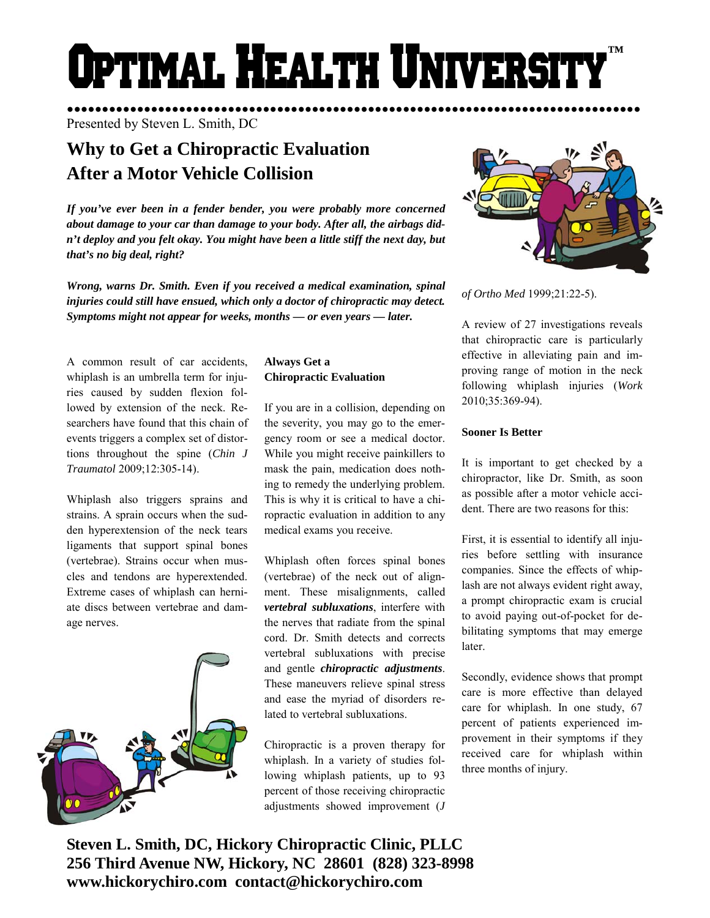# **OPTIMAL HEALTH UNIVERSIT ™**

●●●●●●●●●●●●●●●●●●●●●●●●●●●●●●●●●●●●●●●●●●●●●●●●●●●●●●●●●●●●●●●●●●●●●●●●●●●●●●●●●● Presented by Steven L. Smith, DC

# **Why to Get a Chiropractic Evaluation After a Motor Vehicle Collision**

*If you've ever been in a fender bender, you were probably more concerned about damage to your car than damage to your body. After all, the airbags didn't deploy and you felt okay. You might have been a little stiff the next day, but that's no big deal, right?* 

*Wrong, warns Dr. Smith. Even if you received a medical examination, spinal injuries could still have ensued, which only a doctor of chiropractic may detect. Symptoms might not appear for weeks, months — or even years — later.* 

A common result of car accidents, whiplash is an umbrella term for injuries caused by sudden flexion followed by extension of the neck. Researchers have found that this chain of events triggers a complex set of distortions throughout the spine (*Chin J Traumatol* 2009;12:305-14).

Whiplash also triggers sprains and strains. A sprain occurs when the sudden hyperextension of the neck tears ligaments that support spinal bones (vertebrae). Strains occur when muscles and tendons are hyperextended. Extreme cases of whiplash can herniate discs between vertebrae and damage nerves.



# **Always Get a Chiropractic Evaluation**

If you are in a collision, depending on the severity, you may go to the emergency room or see a medical doctor. While you might receive painkillers to mask the pain, medication does nothing to remedy the underlying problem. This is why it is critical to have a chiropractic evaluation in addition to any medical exams you receive.

Whiplash often forces spinal bones (vertebrae) of the neck out of alignment. These misalignments, called *vertebral subluxations*, interfere with the nerves that radiate from the spinal cord. Dr. Smith detects and corrects vertebral subluxations with precise and gentle *chiropractic adjustments*. These maneuvers relieve spinal stress and ease the myriad of disorders related to vertebral subluxations.

Chiropractic is a proven therapy for whiplash. In a variety of studies following whiplash patients, up to 93 percent of those receiving chiropractic adjustments showed improvement (*J* 



*of Ortho Med* 1999;21:22-5).

A review of 27 investigations reveals that chiropractic care is particularly effective in alleviating pain and improving range of motion in the neck following whiplash injuries (*Work* 2010;35:369-94).

# **Sooner Is Better**

It is important to get checked by a chiropractor, like Dr. Smith, as soon as possible after a motor vehicle accident. There are two reasons for this:

First, it is essential to identify all injuries before settling with insurance companies. Since the effects of whiplash are not always evident right away, a prompt chiropractic exam is crucial to avoid paying out-of-pocket for debilitating symptoms that may emerge later.

Secondly, evidence shows that prompt care is more effective than delayed care for whiplash. In one study, 67 percent of patients experienced improvement in their symptoms if they received care for whiplash within three months of injury.

**Steven L. Smith, DC, Hickory Chiropractic Clinic, PLLC 256 Third Avenue NW, Hickory, NC 28601 (828) 323-8998 www.hickorychiro.com contact@hickorychiro.com**